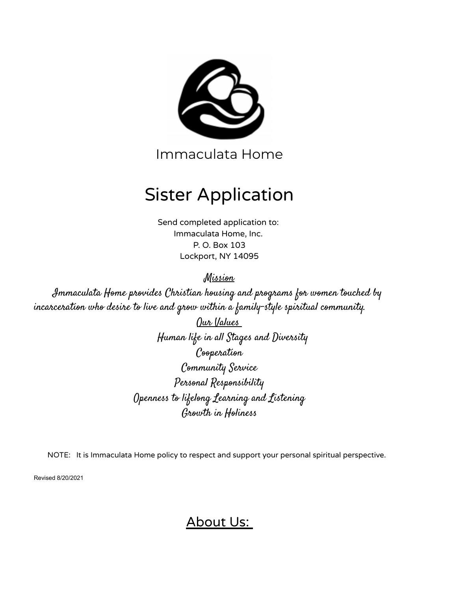

Immaculata Home

# Sister Application

Send completed application to: Immaculata Home, Inc. P. O. Box 103 Lockport, NY 14095

Mission

Immaculata Home provides Christian housing and programs for women touched by incarceration who desire to live and grow within a family-style spiritual community.

> Our Values Human life in all Stages and Diversity Cooperation Community Service Personal Responsibility Openness to lifelong Learning and Listening Growth in Holiness

NOTE: It is Immaculata Home policy to respect and support your personal spiritual perspective.

Revised 8/20/2021

About Us: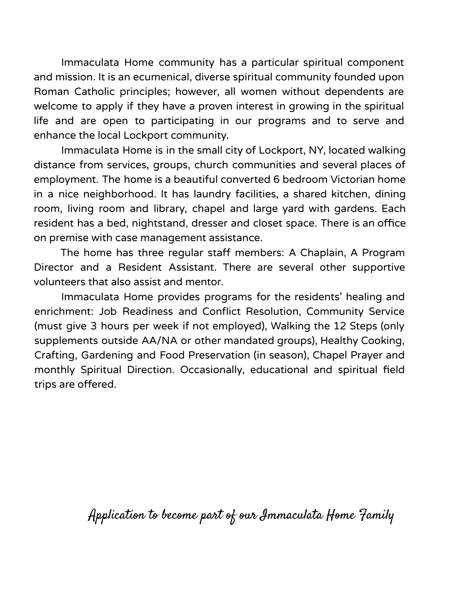Immaculata Home community has a particular spiritual component and mission. It is an ecumenical, diverse spiritual community founded upon Roman Catholic principles; however, all women without dependents are welcome to apply if they have a proven interest in growing in the spiritual life and are open to participating in our programs and to serve and enhance the local Lockport community.

Immaculata Home is in the small city of Lockport, NY, located walking distance from services, groups, church communities and several places of employment. The home is a beautiful converted 6 bedroom Victorian home in a nice neighborhood. It has laundry facilities, a shared kitchen, dining room, living room and library, chapel and large yard with gardens. Each resident has a bed, nightstand, dresser and closet space. There is an office on premise with case management assistance.

The home has three regular staff members: A Chaplain, A Program Director and a Resident Assistant. There are several other supportive volunteers that also assist and mentor.

Immaculata Home provides programs for the residents' healing and enrichment: Job Readiness and Conflict Resolution, Community Service (must give 3 hours per week if not employed), Walking the 12 Steps (only supplements outside AA/NA or other mandated groups), Healthy Cooking, Crafting, Gardening and Food Preservation (in season), Chapel Prayer and monthly Spiritual Direction. Occasionally, educational and spiritual field trips are offered.

Application to become part of our Immaculata Home Family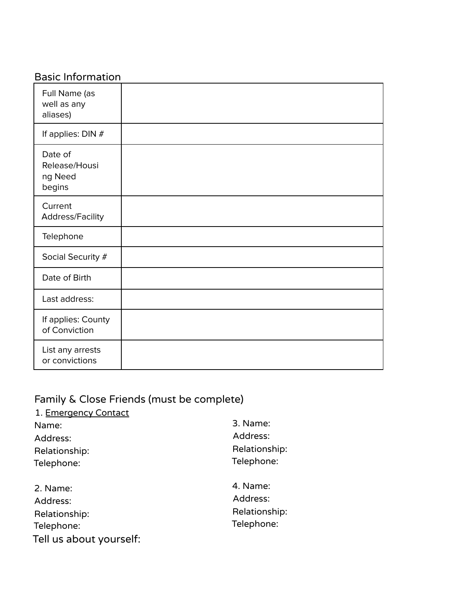## Basic Information

| Full Name (as<br>well as any<br>aliases)      |  |
|-----------------------------------------------|--|
| If applies: DIN #                             |  |
| Date of<br>Release/Housi<br>ng Need<br>begins |  |
| Current<br>Address/Facility                   |  |
| Telephone                                     |  |
| Social Security #                             |  |
| Date of Birth                                 |  |
| Last address:                                 |  |
| If applies: County<br>of Conviction           |  |
| List any arrests<br>or convictions            |  |

### Family & Close Friends (must be complete)

| 1. Emergency Contact    |               |
|-------------------------|---------------|
| Name:                   | 3. Name:      |
| Address:                | Address:      |
| Relationship:           | Relationship: |
| Telephone:              | Telephone:    |
| 2. Name:                | 4. Name:      |
| Address:                | Address:      |
| Relationship:           | Relationship: |
| Telephone:              | Telephone:    |
| Tell us about yourself: |               |
|                         |               |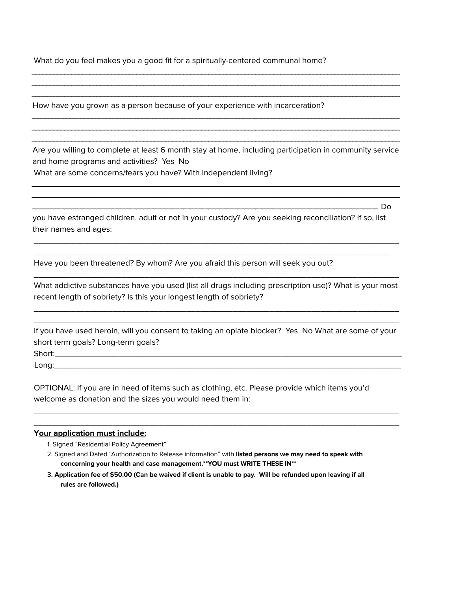What do you feel makes you a good fit for a spiritually-centered communal home?

How have you grown as a person because of your experience with incarceration?

Are you willing to complete at least 6 month stay at home, including participation in community service and home programs and activities? Yes No What are some concerns/fears you have? With independent living?

\_\_\_\_\_\_\_\_\_\_\_\_\_\_\_\_\_\_\_\_\_\_\_\_\_\_\_\_\_\_\_\_\_\_\_\_\_\_\_\_\_\_\_\_\_\_\_\_\_\_\_\_\_\_\_\_\_\_\_\_\_\_\_\_\_\_\_\_\_\_\_\_\_\_\_\_\_\_\_\_\_\_\_\_\_\_\_\_\_\_\_\_\_\_\_\_\_\_\_\_\_\_ \_\_\_\_\_\_\_\_\_\_\_\_\_\_\_\_\_\_\_\_\_\_\_\_\_\_\_\_\_\_\_\_\_\_\_\_\_\_\_\_\_\_\_\_\_\_\_\_\_\_\_\_\_\_\_\_\_\_\_\_\_\_\_\_\_\_\_\_\_\_\_\_\_\_\_\_\_\_\_\_\_\_\_\_\_\_\_\_\_\_\_\_\_\_\_\_\_\_\_\_\_\_

\_\_\_\_\_\_\_\_\_\_\_\_\_\_\_\_\_\_\_\_\_\_\_\_\_\_\_\_\_\_\_\_\_\_\_\_\_\_\_\_\_\_\_\_\_\_\_\_\_\_\_\_\_\_\_\_\_\_\_\_\_\_\_\_\_\_\_\_\_\_\_\_\_\_\_\_\_\_\_\_\_\_\_\_\_\_\_\_\_\_\_\_\_\_\_\_ Do

\_\_\_\_\_\_\_\_\_\_\_\_\_\_\_\_\_\_\_\_\_\_\_\_\_\_\_\_\_\_\_\_\_\_\_\_\_\_\_\_\_\_\_\_\_\_\_\_\_\_\_\_\_\_\_\_\_\_\_\_\_\_\_\_\_\_\_\_\_\_\_\_\_\_\_\_\_\_\_\_\_\_\_\_\_\_\_\_\_\_\_\_\_\_\_\_\_\_\_\_\_\_ \_\_\_\_\_\_\_\_\_\_\_\_\_\_\_\_\_\_\_\_\_\_\_\_\_\_\_\_\_\_\_\_\_\_\_\_\_\_\_\_\_\_\_\_\_\_\_\_\_\_\_\_\_\_\_\_\_\_\_\_\_\_\_\_\_\_\_\_\_\_\_\_\_\_\_\_\_\_\_\_\_\_\_\_\_\_\_\_\_\_\_\_\_\_\_\_\_\_\_\_\_\_ \_\_\_\_\_\_\_\_\_\_\_\_\_\_\_\_\_\_\_\_\_\_\_\_\_\_\_\_\_\_\_\_\_\_\_\_\_\_\_\_\_\_\_\_\_\_\_\_\_\_\_\_\_\_\_\_\_\_\_\_\_\_\_\_\_\_\_\_\_\_\_\_\_\_\_\_\_\_\_\_\_\_\_\_\_\_\_\_\_\_\_\_\_\_\_\_\_\_\_\_\_\_

\_\_\_\_\_\_\_\_\_\_\_\_\_\_\_\_\_\_\_\_\_\_\_\_\_\_\_\_\_\_\_\_\_\_\_\_\_\_\_\_\_\_\_\_\_\_\_\_\_\_\_\_\_\_\_\_\_\_\_\_\_\_\_\_\_\_\_\_\_\_\_\_\_\_\_\_\_\_\_\_\_\_\_\_\_\_\_\_\_\_\_\_\_\_\_\_\_\_\_\_\_\_ \_\_\_\_\_\_\_\_\_\_\_\_\_\_\_\_\_\_\_\_\_\_\_\_\_\_\_\_\_\_\_\_\_\_\_\_\_\_\_\_\_\_\_\_\_\_\_\_\_\_\_\_\_\_\_\_\_\_\_\_\_\_\_\_\_\_\_\_\_\_\_\_\_\_\_\_\_\_\_\_\_\_\_\_\_\_\_\_\_\_\_\_\_\_\_\_\_\_\_\_\_\_ \_\_\_\_\_\_\_\_\_\_\_\_\_\_\_\_\_\_\_\_\_\_\_\_\_\_\_\_\_\_\_\_\_\_\_\_\_\_\_\_\_\_\_\_\_\_\_\_\_\_\_\_\_\_\_\_\_\_\_\_\_\_\_\_\_\_\_\_\_\_\_\_\_\_\_\_\_\_\_\_\_\_\_\_\_\_\_\_\_\_\_\_\_\_\_\_\_\_\_\_\_\_

you have estranged children, adult or not in your custody? Are you seeking reconciliation? If so, list their names and ages:

\_\_\_\_\_\_\_\_\_\_\_\_\_\_\_\_\_\_\_\_\_\_\_\_\_\_\_\_\_\_\_\_\_\_\_\_\_\_\_\_\_\_\_\_\_\_\_\_\_\_\_\_\_\_\_\_\_\_\_\_\_\_\_\_\_\_\_\_\_\_\_\_\_\_\_\_\_\_\_ \_\_\_\_\_\_\_\_\_\_\_\_\_\_\_\_\_\_\_\_\_\_\_\_\_\_\_\_\_\_\_\_\_\_\_\_\_\_\_\_\_\_\_\_\_\_\_\_\_\_\_\_\_\_\_\_\_\_\_\_\_\_\_\_\_\_\_\_\_\_\_\_\_\_\_\_\_

Have you been threatened? By whom? Are you afraid this person will seek you out?

What addictive substances have you used (list all drugs including prescription use)? What is your most recent length of sobriety? Is this your longest length of sobriety?

\_\_\_\_\_\_\_\_\_\_\_\_\_\_\_\_\_\_\_\_\_\_\_\_\_\_\_\_\_\_\_\_\_\_\_\_\_\_\_\_\_\_\_\_\_\_\_\_\_\_\_\_\_\_\_\_\_\_\_\_\_\_\_\_\_\_\_\_\_\_\_\_\_\_\_\_\_\_\_ \_\_\_\_\_\_\_\_\_\_\_\_\_\_\_\_\_\_\_\_\_\_\_\_\_\_\_\_\_\_\_\_\_\_\_\_\_\_\_\_\_\_\_\_\_\_\_\_\_\_\_\_\_\_\_\_\_\_\_\_\_\_\_\_\_\_\_\_\_\_\_\_\_\_\_\_\_\_\_

\_\_\_\_\_\_\_\_\_\_\_\_\_\_\_\_\_\_\_\_\_\_\_\_\_\_\_\_\_\_\_\_\_\_\_\_\_\_\_\_\_\_\_\_\_\_\_\_\_\_\_\_\_\_\_\_\_\_\_\_\_\_\_\_\_\_\_\_\_\_\_\_\_\_\_\_\_\_\_

If you have used heroin, will you consent to taking an opiate blocker? Yes No What are some of your short term goals? Long-term goals?

\_\_\_\_\_\_\_\_\_\_\_\_\_\_\_\_\_\_\_\_\_\_\_\_\_\_\_\_\_\_\_\_\_\_\_\_\_\_\_\_\_\_\_\_\_\_\_\_\_\_\_\_\_\_\_\_\_\_\_\_\_\_\_\_\_\_\_\_\_\_\_\_\_\_\_\_\_\_\_ \_\_\_\_\_\_\_\_\_\_\_\_\_\_\_\_\_\_\_\_\_\_\_\_\_\_\_\_\_\_\_\_\_\_\_\_\_\_\_\_\_\_\_\_\_\_\_\_\_\_\_\_\_\_\_\_\_\_\_\_\_\_\_\_\_\_\_\_\_\_\_\_\_\_\_\_\_\_\_

Short:\_\_\_\_\_\_\_\_\_\_\_\_\_\_\_\_\_\_\_\_\_\_\_\_\_\_\_\_\_\_\_\_\_\_\_\_\_\_\_\_\_\_\_\_\_\_\_\_\_\_\_\_\_\_\_\_\_\_\_\_\_\_\_\_\_\_\_\_\_\_\_\_\_\_\_ Long:\_\_\_\_\_\_\_\_\_\_\_\_\_\_\_\_\_\_\_\_\_\_\_\_\_\_\_\_\_\_\_\_\_\_\_\_\_\_\_\_\_\_\_\_\_\_\_\_\_\_\_\_\_\_\_\_\_\_\_\_\_\_\_\_\_\_\_\_\_\_\_\_\_\_\_

OPTIONAL: If you are in need of items such as clothing, etc. Please provide which items you'd welcome as donation and the sizes you would need them in:

#### **Your application must include:**

- 1. Signed "Residential Policy Agreement"
- 2. Signed and Dated "Authorization to Release information" with **listed persons we may need to speak with concerning your health and case management.\*\*YOU must WRITE THESE IN\*\***
- 3. Application fee of \$50.00 (Can be waived if client is unable to pay. Will be refunded upon leaving if all **rules are followed.)**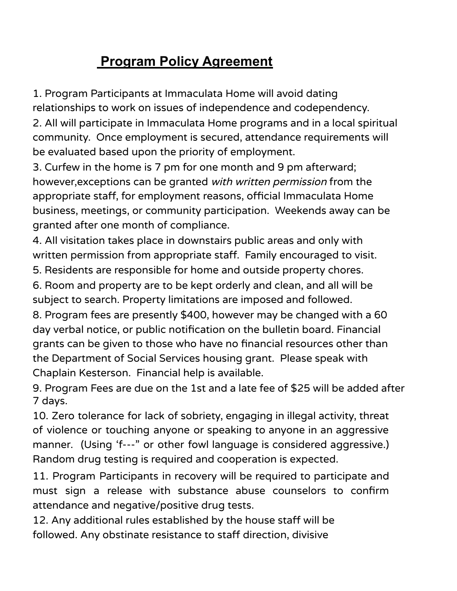## **Program Policy Agreement**

1. Program Participants at Immaculata Home will avoid dating

relationships to work on issues of independence and codependency. 2. All will participate in Immaculata Home programs and in a local spiritual community. Once employment is secured, attendance requirements will be evaluated based upon the priority of employment.

3. Curfew in the home is 7 pm for one month and 9 pm afterward; however,exceptions can be granted with written permission from the appropriate staff, for employment reasons, official Immaculata Home business, meetings, or community participation. Weekends away can be granted after one month of compliance.

4. All visitation takes place in downstairs public areas and only with written permission from appropriate staff. Family encouraged to visit.

5. Residents are responsible for home and outside property chores.

6. Room and property are to be kept orderly and clean, and all will be subject to search. Property limitations are imposed and followed.

8. Program fees are presently \$400, however may be changed with a 60 day verbal notice, or public notification on the bulletin board. Financial grants can be given to those who have no financial resources other than the Department of Social Services housing grant. Please speak with Chaplain Kesterson. Financial help is available.

9. Program Fees are due on the 1st and a late fee of \$25 will be added after 7 days.

10. Zero tolerance for lack of sobriety, engaging in illegal activity, threat of violence or touching anyone or speaking to anyone in an aggressive manner. (Using 'f---" or other fowl language is considered aggressive.) Random drug testing is required and cooperation is expected.

11. Program Participants in recovery will be required to participate and must sign a release with substance abuse counselors to confirm attendance and negative/positive drug tests.

12. Any additional rules established by the house staff will be followed. Any obstinate resistance to staff direction, divisive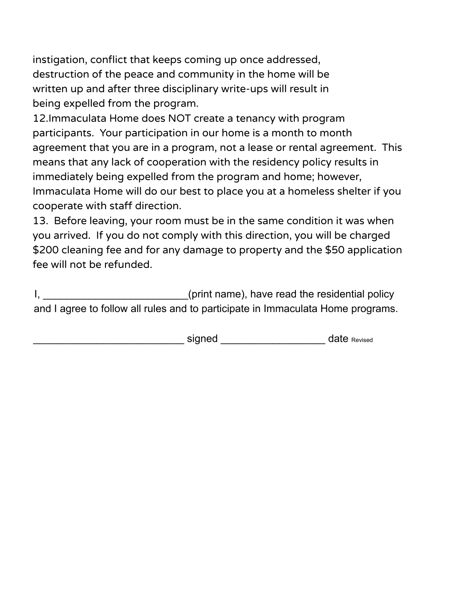instigation, conflict that keeps coming up once addressed, destruction of the peace and community in the home will be written up and after three disciplinary write-ups will result in being expelled from the program.

12.Immaculata Home does NOT create a tenancy with program participants. Your participation in our home is a month to month agreement that you are in a program, not a lease or rental agreement. This means that any lack of cooperation with the residency policy results in immediately being expelled from the program and home; however, Immaculata Home will do our best to place you at a homeless shelter if you cooperate with staff direction.

13. Before leaving, your room must be in the same condition it was when you arrived. If you do not comply with this direction, you will be charged \$200 cleaning fee and for any damage to property and the \$50 application fee will not be refunded.

I, \_\_\_\_\_\_\_\_\_\_\_\_\_\_\_\_\_\_\_\_\_\_\_\_\_\_\_(print name), have read the residential policy and I agree to follow all rules and to participate in Immaculata Home programs.

\_\_\_\_\_\_\_\_\_\_\_\_\_\_\_\_\_\_\_\_\_\_\_\_\_\_ signed \_\_\_\_\_\_\_\_\_\_\_\_\_\_\_\_\_\_ date Revised